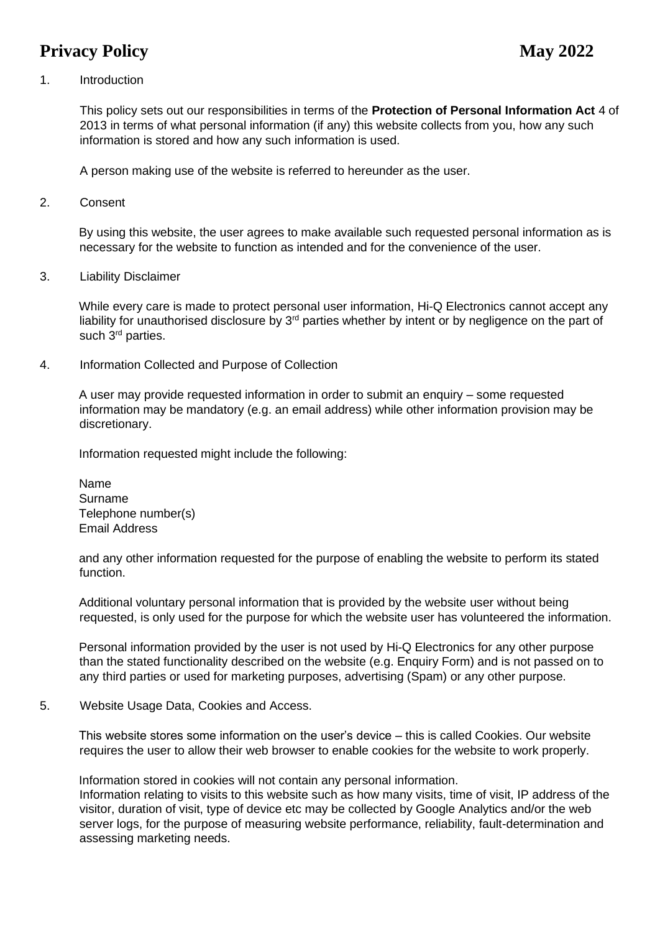# **Privacy Policy** May 2022

### 1. Introduction

This policy sets out our responsibilities in terms of the **Protection of Personal Information Act** 4 of 2013 in terms of what personal information (if any) this website collects from you, how any such information is stored and how any such information is used.

A person making use of the website is referred to hereunder as the user.

2. Consent

By using this website, the user agrees to make available such requested personal information as is necessary for the website to function as intended and for the convenience of the user.

3. Liability Disclaimer

While every care is made to protect personal user information, Hi-Q Electronics cannot accept any liability for unauthorised disclosure by  $3<sup>rd</sup>$  parties whether by intent or by negligence on the part of such 3<sup>rd</sup> parties.

4. Information Collected and Purpose of Collection

A user may provide requested information in order to submit an enquiry – some requested information may be mandatory (e.g. an email address) while other information provision may be discretionary.

Information requested might include the following:

Name Surname Telephone number(s) Email Address

and any other information requested for the purpose of enabling the website to perform its stated function.

Additional voluntary personal information that is provided by the website user without being requested, is only used for the purpose for which the website user has volunteered the information.

Personal information provided by the user is not used by Hi-Q Electronics for any other purpose than the stated functionality described on the website (e.g. Enquiry Form) and is not passed on to any third parties or used for marketing purposes, advertising (Spam) or any other purpose.

5. Website Usage Data, Cookies and Access.

This website stores some information on the user's device – this is called Cookies. Our website requires the user to allow their web browser to enable cookies for the website to work properly.

Information stored in cookies will not contain any personal information.

Information relating to visits to this website such as how many visits, time of visit, IP address of the visitor, duration of visit, type of device etc may be collected by Google Analytics and/or the web server logs, for the purpose of measuring website performance, reliability, fault-determination and assessing marketing needs.